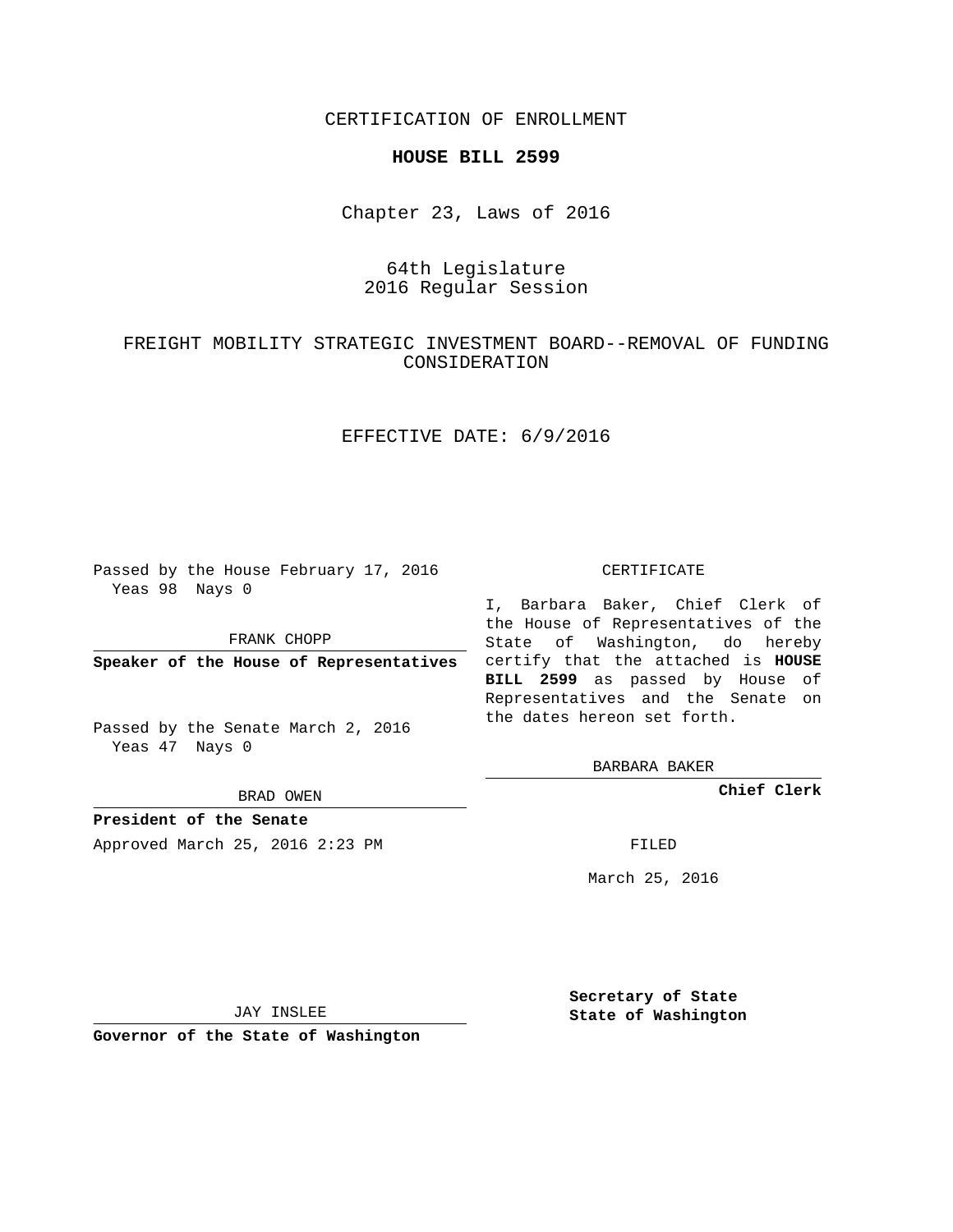CERTIFICATION OF ENROLLMENT

### **HOUSE BILL 2599**

Chapter 23, Laws of 2016

# 64th Legislature 2016 Regular Session

# FREIGHT MOBILITY STRATEGIC INVESTMENT BOARD--REMOVAL OF FUNDING CONSIDERATION

## EFFECTIVE DATE: 6/9/2016

Passed by the House February 17, 2016 Yeas 98 Nays 0

FRANK CHOPP

Passed by the Senate March 2, 2016 Yeas 47 Nays 0

BRAD OWEN

**President of the Senate**

Approved March 25, 2016 2:23 PM FILED

#### CERTIFICATE

**Speaker of the House of Representatives** certify that the attached is **HOUSE** I, Barbara Baker, Chief Clerk of the House of Representatives of the State of Washington, do hereby **BILL 2599** as passed by House of Representatives and the Senate on the dates hereon set forth.

BARBARA BAKER

**Chief Clerk**

March 25, 2016

JAY INSLEE

**Governor of the State of Washington**

**Secretary of State State of Washington**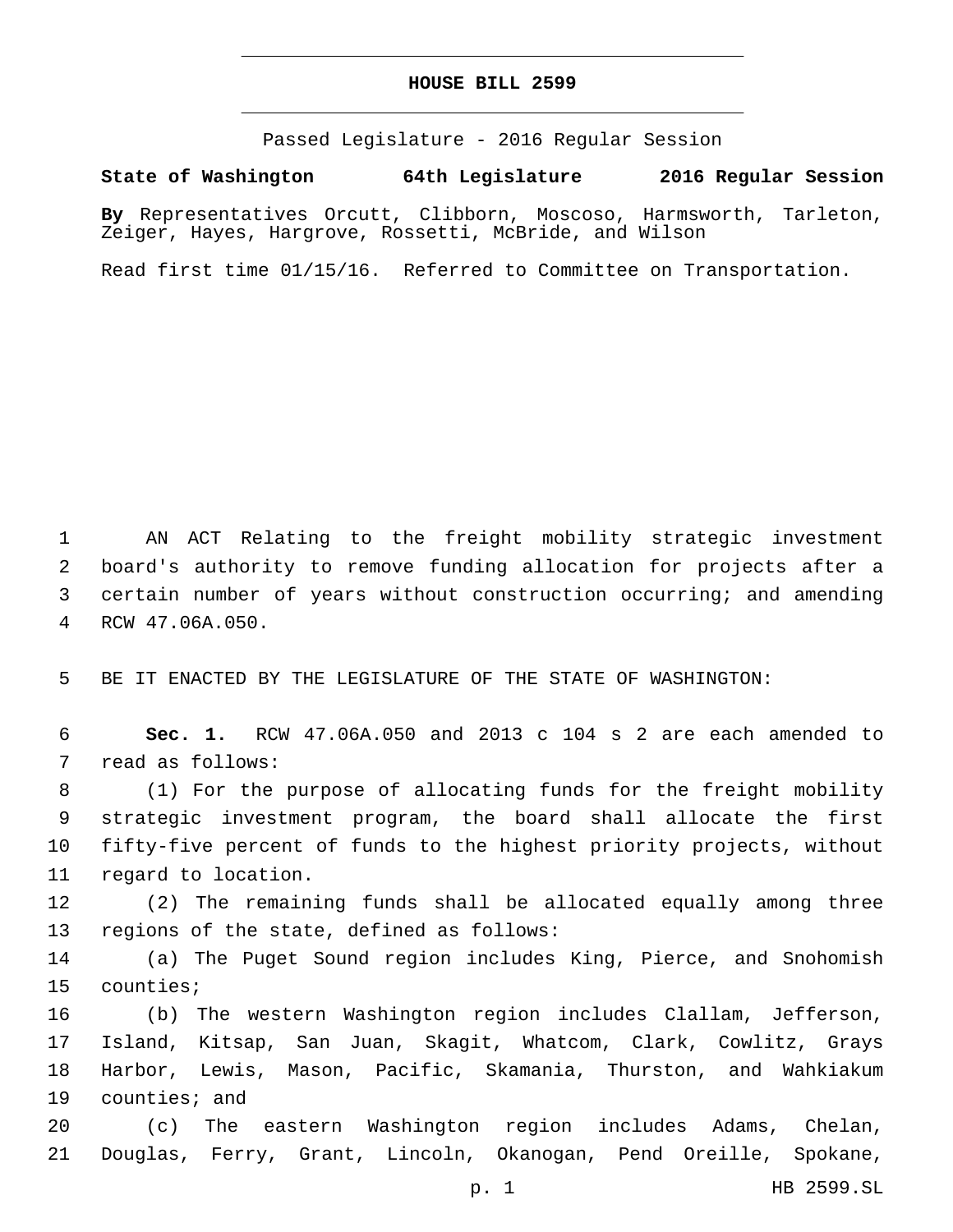## **HOUSE BILL 2599**

Passed Legislature - 2016 Regular Session

**State of Washington 64th Legislature 2016 Regular Session**

**By** Representatives Orcutt, Clibborn, Moscoso, Harmsworth, Tarleton, Zeiger, Hayes, Hargrove, Rossetti, McBride, and Wilson

Read first time 01/15/16. Referred to Committee on Transportation.

 AN ACT Relating to the freight mobility strategic investment board's authority to remove funding allocation for projects after a certain number of years without construction occurring; and amending RCW 47.06A.050.4

5 BE IT ENACTED BY THE LEGISLATURE OF THE STATE OF WASHINGTON:

6 **Sec. 1.** RCW 47.06A.050 and 2013 c 104 s 2 are each amended to 7 read as follows:

 (1) For the purpose of allocating funds for the freight mobility strategic investment program, the board shall allocate the first fifty-five percent of funds to the highest priority projects, without 11 regard to location.

12 (2) The remaining funds shall be allocated equally among three 13 regions of the state, defined as follows:

14 (a) The Puget Sound region includes King, Pierce, and Snohomish 15 counties;

 (b) The western Washington region includes Clallam, Jefferson, Island, Kitsap, San Juan, Skagit, Whatcom, Clark, Cowlitz, Grays Harbor, Lewis, Mason, Pacific, Skamania, Thurston, and Wahkiakum 19 counties; and

20 (c) The eastern Washington region includes Adams, Chelan, 21 Douglas, Ferry, Grant, Lincoln, Okanogan, Pend Oreille, Spokane,